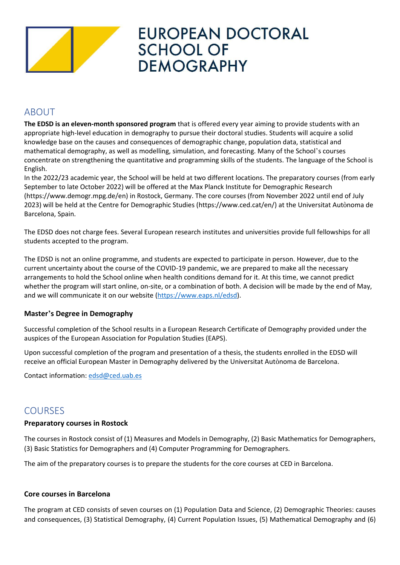

# **EUROPEAN DOCTORAL SCHOOL OF DEMOGRAPHY**

## ABOUT

**The EDSD is an eleven-month sponsored program** that is offered every year aiming to provide students with an appropriate high-level education in demography to pursue their doctoral studies. Students will acquire a solid knowledge base on the causes and consequences of demographic change, population data, statistical and mathematical demography, as well as modelling, simulation, and forecasting. Many of the School's courses concentrate on strengthening the quantitative and programming skills of the students. The language of the School is English.

In the 2022/23 academic year, the School will be held at two different locations. The preparatory courses (from early September to late October 2022) will be offered at the Max Planck Institute for Demographic Research (https://www.demogr.mpg.de/en) in Rostock, Germany. The core courses (from November 2022 until end of July 2023) will be held at the Centre for Demographic Studies (https://www.ced.cat/en/) at the Universitat Autònoma de Barcelona, Spain.

The EDSD does not charge fees. Several European research institutes and universities provide full fellowships for all students accepted to the program.

The EDSD is not an online programme, and students are expected to participate in person. However, due to the current uncertainty about the course of the COVID-19 pandemic, we are prepared to make all the necessary arrangements to hold the School online when health conditions demand for it. At this time, we cannot predict whether the program will start online, on-site, or a combination of both. A decision will be made by the end of May, and we will communicate it on our website [\(https://www.eaps.nl/edsd\)](https://www.eaps.nl/edsd).

### **Master's Degree in Demography**

Successful completion of the School results in a European Research Certificate of Demography provided under the auspices of the European Association for Population Studies (EAPS).

Upon successful completion of the program and presentation of a thesis, the students enrolled in the EDSD will receive an official European Master in Demography delivered by the Universitat Autònoma de Barcelona.

Contact information: [edsd@ced.uab.es](mailto:edsd@ced.uab.es)

## COURSES

#### **Preparatory courses in Rostock**

The courses in Rostock consist of (1) Measures and Models in Demography, (2) Basic Mathematics for Demographers, (3) Basic Statistics for Demographers and (4) Computer Programming for Demographers.

The aim of the preparatory courses is to prepare the students for the core courses at CED in Barcelona.

#### **Core courses in Barcelona**

The program at CED consists of seven courses on (1) Population Data and Science, (2) Demographic Theories: causes and consequences, (3) Statistical Demography, (4) Current Population Issues, (5) Mathematical Demography and (6)